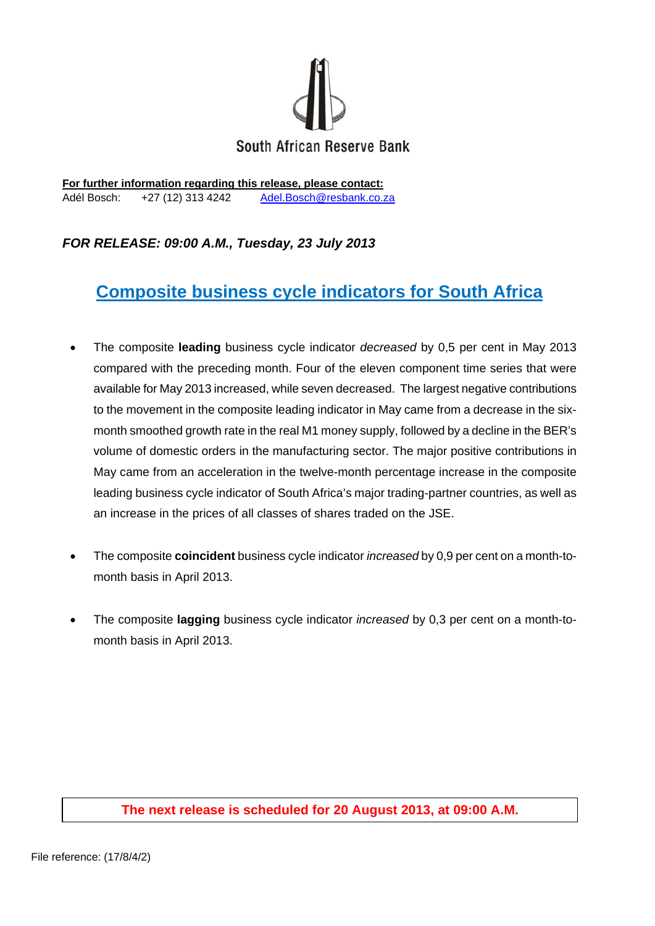

**For further information regarding this release, please contact:**  Adél Bosch: +27 (12) 313 4242 Adel.Bosch@resbank.co.za

## *FOR RELEASE: 09:00 A.M., Tuesday, 23 July 2013*

# **Composite business cycle indicators for South Africa**

- The composite **leading** business cycle indicator *decreased* by 0,5 per cent in May 2013 compared with the preceding month. Four of the eleven component time series that were available for May 2013 increased, while seven decreased. The largest negative contributions to the movement in the composite leading indicator in May came from a decrease in the sixmonth smoothed growth rate in the real M1 money supply, followed by a decline in the BER's volume of domestic orders in the manufacturing sector. The major positive contributions in May came from an acceleration in the twelve-month percentage increase in the composite leading business cycle indicator of South Africa's major trading-partner countries, as well as an increase in the prices of all classes of shares traded on the JSE.
- The composite **coincident** business cycle indicator *increased* by 0,9 per cent on a month-tomonth basis in April 2013.
- The composite **lagging** business cycle indicator *increased* by 0,3 per cent on a month-tomonth basis in April 2013.

### **The next release is scheduled for 20 August 2013, at 09:00 A.M.**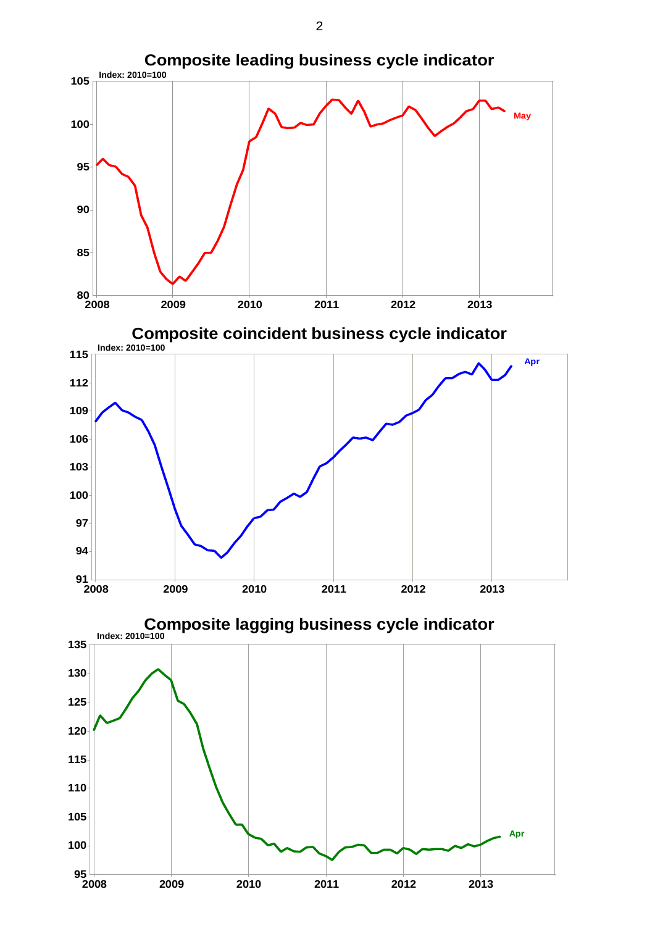